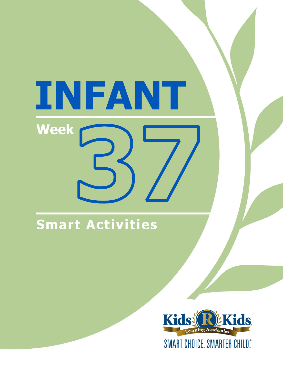# INFANT **Week**

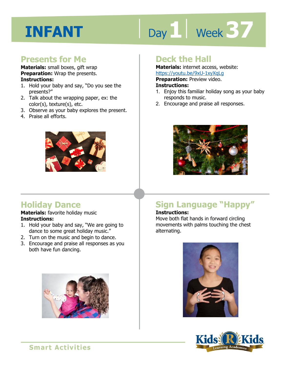# Day 1 | Week 37

#### **Presents for Me**

**Materials:** small boxes, gift wrap **Preparation:** Wrap the presents. **Instructions:** 

- 1. Hold your baby and say, "Do you see the presents?"
- 2. Talk about the wrapping paper, ex: the color(s), texture(s), etc.
- 3. Observe as your baby explores the present.
- 4. Praise all efforts.



#### **Deck the Hall**

**Materials:** internet access, website: https://youtu.be/9xU-1xyXqLg

**Preparation: Preview video.** 

#### **Instructions:**

- **IRCDS.//YOULLI.DE/9XD-1XYXQLG**<br>**Preparation:** Preview video.<br>**Instructions:**<br>1. Enjoy this familiar holiday song as your baby responds to music.
- 2. Encourage and praise all responses.



#### **Holiday Dance**

#### **Materials:** favorite holiday music **Instructions:**

- 1. Hold your baby and say, "We are going to dance to some great holiday music."
- 2. Turn on the music and begin to dance.
- 3. Encourage and praise all responses as you both have fun dancing.



### **Sign Language "Happy"**

#### **Instructions:**

Move both flat hands in forward circling movements with palms touching the chest alternating.



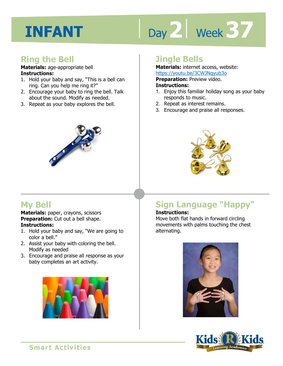# Day 2 | Week 37

#### **Ring the Bell**

#### **Materials:** age-appropriate bell **Instructions:**

- 1. Hold your baby and say, "This is a bell can ring. Can you help me ring it?"
- 2. Encourage your baby to ring the bell. Talk about the sound. Modify as needed.
- 3. Repeat as your baby explores the bell.



#### **Jingle Bells**

**Materials:** internet access, website: https://youtu.be/3CWJNqyub3o

**Preparation:** Preview video.

#### **Instructions:**

- **Intps.//youtd.be/Sewshigyabso**<br>**Preparation:** Preview video.<br>**Instructions:**<br>1. Enjoy this familiar holiday song as your baby responds to music.
- 2. Repeat as interest remains.
- 3. Encourage and praise all responses.



#### **My Bell**

**Materials:** paper, crayons, scissors **Preparation:** Cut out a bell shape. **Instructions:** 

- 1. Hold your baby and say, "We are going to color a bell."
- 2. Assist your baby with coloring the bell. Modify as needed
- 3. Encourage and praise all response as your baby completes an art activity.



### **Sign Language "Happy"**

#### **Instructions:**

Move both flat hands in forward circling movements with palms touching the chest alternating.



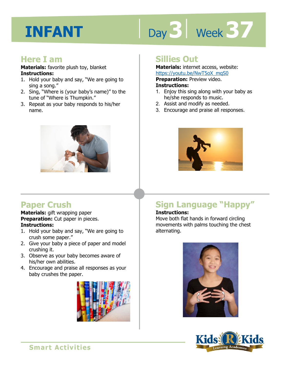# Day 3 | Week 37

#### **Here I am**

**Materials:** favorite plush toy, blanket **Instructions:** 

- 1. Hold your baby and say, "We are going to sing a song."
- 2. Sing, "Where is (your baby's name)" to the tune of "Where is Thumpkin."
- 3. Repeat as your baby responds to his/her name.



#### **Paper Crush**

**Materials:** gift wrapping paper **Preparation:** Cut paper in pieces. **Instructions:** 

- 1. Hold your baby and say, "We are going to crush some paper."
- 2. Give your baby a piece of paper and model crushing it.
- 3. Observe as your baby becomes aware of his/her own abilities.
- 4. Encourage and praise all responses as your baby crushes the paper.



#### **Sillies Out**

**Materials:** internet access, website: https://youtu.be/NwT5oX\_mqS0

**Preparation:** Preview video.

#### **Instructions:**

- **1 4**  1. Enjoy this sing along with your baby as he/she responds to music.
- 2. Assist and modify as needed.
- 3. Encourage and praise all responses.



### **Sign Language "Happy"**

#### **Instructions:**

Move both flat hands in forward circling movements with palms touching the chest alternating.



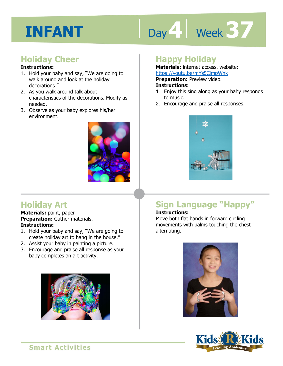# Day 4 Week 37

#### **Holiday Cheer**

#### **Instructions:**

- 1. Hold your baby and say, "We are going to walk around and look at the holiday decorations."
- 2. As you walk around talk about characteristics of the decorations. Modify as needed.
- 3. Observe as your baby explores his/her environment.



#### **Holiday Art**

**Materials:** paint, paper **Preparation:** Gather materials. **Instructions:** 

- 1. Hold your baby and say, "We are going to create holiday art to hang in the house."
- 2. Assist your baby in painting a picture.
- 3. Encourage and praise all response as your baby completes an art activity.



#### **Happy Holiday**

**Materials:** internet access, website: https://youtu.be/mYs5ClmpWnk

**Preparation:** Preview video.

#### **Instructions:**

- <u>IRCDS.//youtd.be/IIITSSCIIIDWIR</u><br>**Preparation:** Preview video.<br>1. Enjoy this sing along as your baby responds to music.
- 2. Encourage and praise all responses.



### **Sign Language "Happy"**

#### **Instructions:**

Move both flat hands in forward circling movements with palms touching the chest alternating.